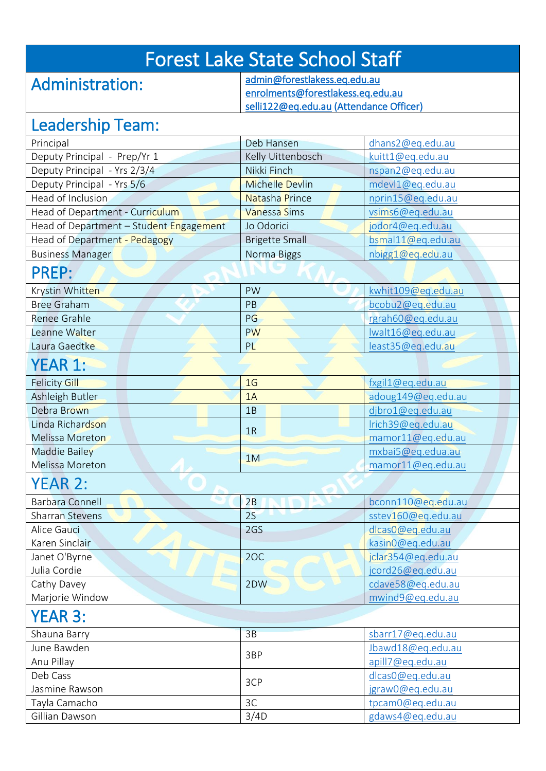## Forest Lake State School Staff

### Administration:

[admin@forestlakess.eq.edu.au](mailto:admin@forestlakess.eq.edu.au)  [enrolments@forestlakess.eq.edu.au](mailto:enrolments@forestlakess.eq.edu.au)  [selli122@eq.edu.au](mailto:selli122@eq.edu.au) (Attendance Officer)

#### Leadership Team:

| LCUUCI JIIIP TCUITI.                    |                        |                    |  |
|-----------------------------------------|------------------------|--------------------|--|
| Principal                               | Deb Hansen             | dhans2@eq.edu.au   |  |
| Deputy Principal - Prep/Yr 1            | Kelly Uittenbosch      | kuitt1@eq.edu.au   |  |
| Deputy Principal - Yrs 2/3/4            | Nikki Finch            | nspan2@eq.edu.au   |  |
| Deputy Principal - Yrs 5/6              | <b>Michelle Devlin</b> | mdevl1@eq.edu.au   |  |
| Head of Inclusion                       | Natasha Prince         | nprin15@eq.edu.au  |  |
| Head of Department - Curriculum         | <b>Vanessa Sims</b>    | vsims6@eq.edu.au   |  |
| Head of Department - Student Engagement | Jo Odorici             | jodor4@eq.edu.au   |  |
| Head of Department - Pedagogy           | <b>Brigette Small</b>  | bsmal11@eq.edu.au  |  |
| <b>Business Manager</b>                 | Norma Biggs            | nbigg1@eq.edu.au   |  |
| <b>PREP:</b>                            |                        |                    |  |
| Krystin Whitten                         | PW                     | kwhit109@eq.edu.au |  |
| <b>Bree Graham</b>                      | PB                     | bcobu2@eq.edu.au   |  |
| <b>Renee Grahle</b>                     | PG                     | rgrah60@eq.edu.au  |  |
| Leanne Walter                           | <b>PW</b>              | lwalt16@eq.edu.au  |  |
| Laura Gaedtke                           | PL                     | least35@eq.edu.au  |  |
| <b>YEAR 1:</b>                          |                        |                    |  |
| <b>Felicity Gill</b>                    | 1 <sub>G</sub>         | fxgil1@eq.edu.au   |  |
| Ashleigh Butler                         | 1A                     | adoug149@eq.edu.au |  |
| Debra Brown                             | 1B                     | djbro1@eq.edu.au   |  |
| Linda Richardson                        |                        | Irich39@eq.edu.au  |  |
| Melissa Moreton                         | 1R                     | mamor11@eq.edu.au  |  |
| <b>Maddie Bailey</b>                    | 1M                     | mxbai5@eq.edua.au  |  |
| Melissa Moreton                         |                        | mamor11@eq.edu.au  |  |
| <b>YEAR 2:</b>                          |                        |                    |  |
| <b>Barbara Connell</b>                  | 2B                     | bconn110@eq.edu.au |  |
| <b>Sharran Stevens</b>                  | 2S                     | sstev160@eq.edu.au |  |
| Alice Gauci                             | 2GS                    | dlcas0@eq.edu.au   |  |
| Karen Sinclair                          |                        | kasin0@eq.edu.au   |  |
| Janet O'Byrne                           | 2OC                    | jclar354@eq.edu.au |  |
| Julia Cordie                            |                        | jcord26@eq.edu.au  |  |
| Cathy Davey                             | 2DW                    | cdave58@eq.edu.au  |  |
| Marjorie Window                         |                        | mwind9@eq.edu.au   |  |
| <b>YEAR 3:</b>                          |                        |                    |  |
| Shauna Barry                            | 3B                     | sbarr17@eq.edu.au  |  |
| June Bawden                             | 3BP                    | Jbawd18@eq.edu.au  |  |
| Anu Pillay                              |                        | apill7@eq.edu.au   |  |
| Deb Cass                                | 3CP                    | dlcas0@eq.edu.au   |  |
| Jasmine Rawson                          |                        | jgraw0@eq.edu.au   |  |
| Tayla Camacho                           | 3C                     | tpcam0@eq.edu.au   |  |
| Gillian Dawson                          | 3/4D                   | gdaws4@eq.edu.au   |  |